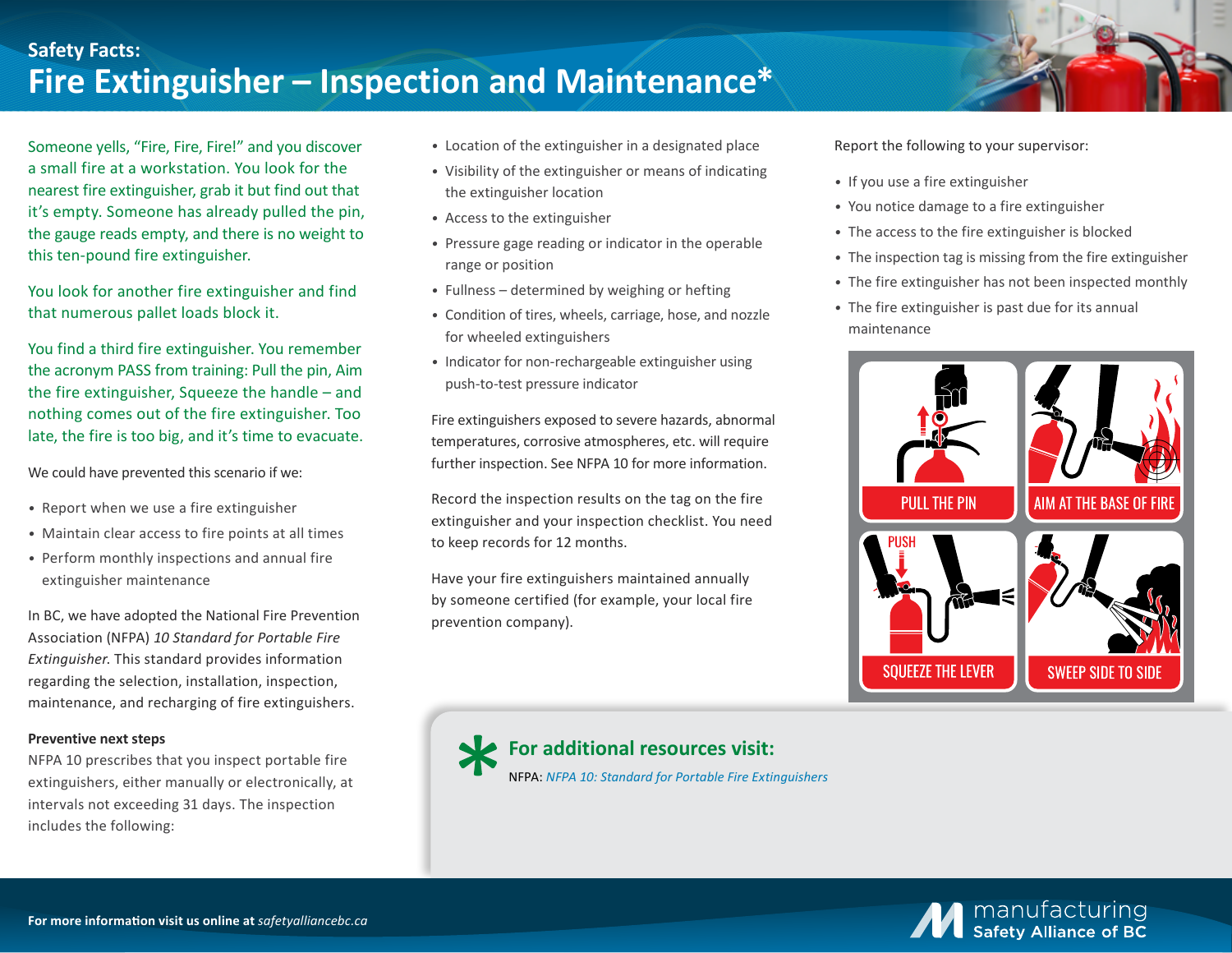## **Safety Facts: Fire Extinguisher – Inspection and Maintenance\***

Someone yells, "Fire, Fire, Fire!" and you discover a small fire at a workstation. You look for the nearest fire extinguisher, grab it but find out that it's empty. Someone has already pulled the pin, the gauge reads empty, and there is no weight to this ten-pound fire extinguisher.

You look for another fire extinguisher and find that numerous pallet loads block it.

You find a third fire extinguisher. You remember the acronym PASS from training: Pull the pin, Aim the fire extinguisher, Squeeze the handle – and nothing comes out of the fire extinguisher. Too late, the fire is too big, and it's time to evacuate.

We could have prevented this scenario if we:

- *•* Report when we use a fire extinguisher
- *•* Maintain clear access to fire points at all times
- *•* Perform monthly inspections and annual fire extinguisher maintenance

In BC, we have adopted the National Fire Prevention Association (NFPA) *10 Standard for Portable Fire Extinguisher*. This standard provides information regarding the selection, installation, inspection, maintenance, and recharging of fire extinguishers.

## **Preventive next steps**

NFPA 10 prescribes that you inspect portable fire extinguishers, either manually or electronically, at intervals not exceeding 31 days. The inspection includes the following:

- *•* Location of the extinguisher in a designated place
- *•* Visibility of the extinguisher or means of indicating the extinguisher location
- *•* Access to the extinguisher
- *•* Pressure gage reading or indicator in the operable range or position
- *•* Fullness determined by weighing or hefting
- *•* Condition of tires, wheels, carriage, hose, and nozzle for wheeled extinguishers
- *•* Indicator for non-rechargeable extinguisher using push-to-test pressure indicator

Fire extinguishers exposed to severe hazards, abnormal temperatures, corrosive atmospheres, etc. will require further inspection. See NFPA 10 for more information.

Record the inspection results on the tag on the fire extinguisher and your inspection checklist. You need to keep records for 12 months.

Have your fire extinguishers maintained annually by someone certified (for example, your local fire prevention company).

Report the following to your supervisor:

- *•* If you use a fire extinguisher
- *•* You notice damage to a fire extinguisher
- *•* The access to the fire extinguisher is blocked
- *•* The inspection tag is missing from the fire extinguisher
- *•* The fire extinguisher has not been inspected monthly
- *•* The fire extinguisher is past due for its annual maintenance



**For additional resources visit:**  NFPA: *[NFPA 10: Standard for Portable Fire Extinguishers](https://www.nfpa.org/codes-and-standards/all-codes-and-standards/list-of-codes-and-standards/detail?code=10)*